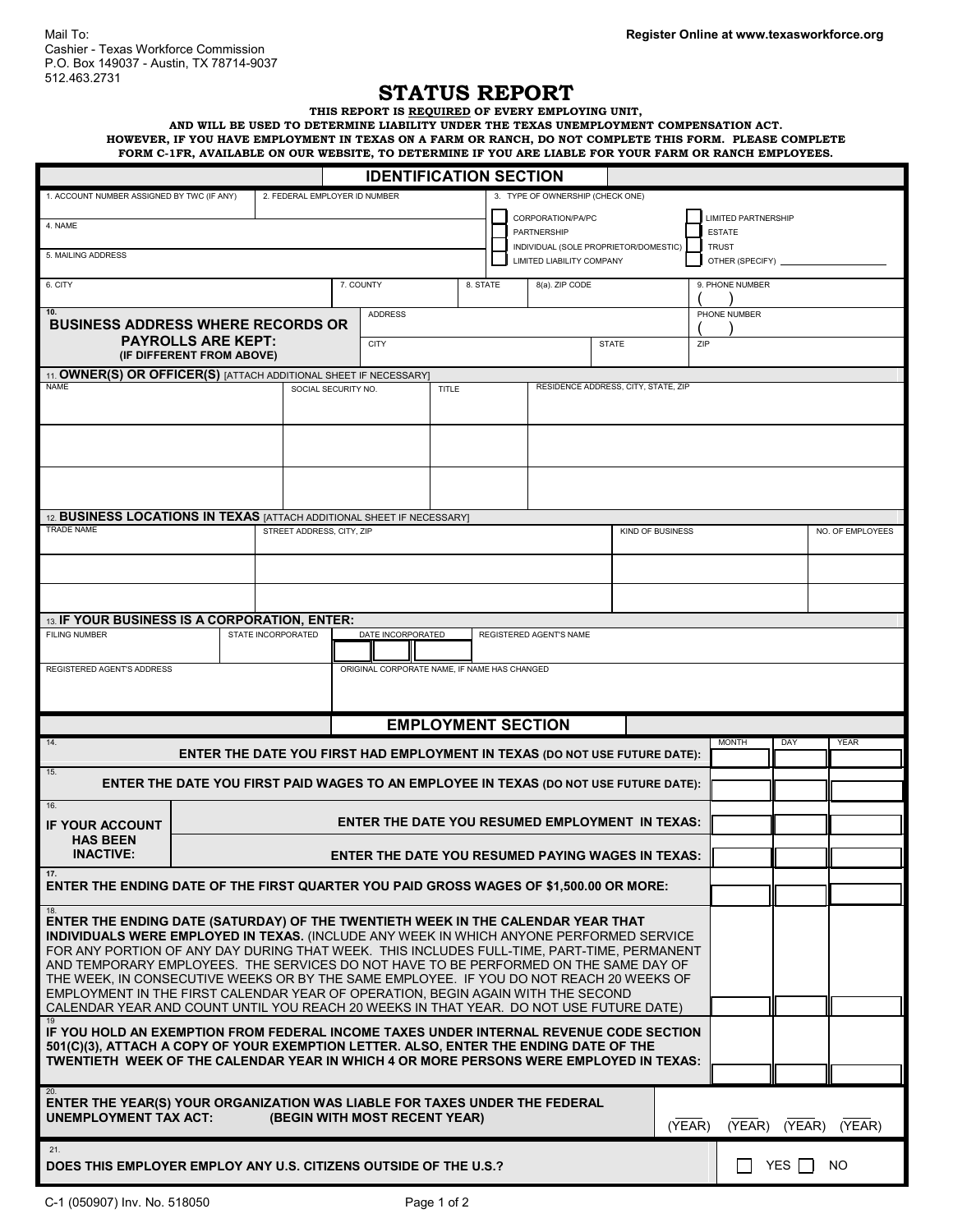## **STATUS REPORT**

**THIS REPORT IS REQUIRED OF EVERY EMPLOYING UNIT,**

**AND WILL BE USED TO DETERMINE LIABILITY UNDER THE TEXAS UNEMPLOYMENT COMPENSATION ACT. HOWEVER, IF YOU HAVE EMPLOYMENT IN TEXAS ON A FARM OR RANCH, DO NOT COMPLETE THIS FORM. PLEASE COMPLETE FORM C-1FR, AVAILABLE ON OUR WEBSITE, TO DETERMINE IF YOU ARE LIABLE FOR YOUR FARM OR RANCH EMPLOYEES.**

|                                                                                                                                                                                    |                                                                            |                               | <b>IDENTIFICATION SECTION</b>                                       |                                                      |                           |  |  |                                  |  |  |                  |                               |                     |        |  |             |                  |  |
|------------------------------------------------------------------------------------------------------------------------------------------------------------------------------------|----------------------------------------------------------------------------|-------------------------------|---------------------------------------------------------------------|------------------------------------------------------|---------------------------|--|--|----------------------------------|--|--|------------------|-------------------------------|---------------------|--------|--|-------------|------------------|--|
| 1. ACCOUNT NUMBER ASSIGNED BY TWC (IF ANY)                                                                                                                                         |                                                                            | 2. FEDERAL EMPLOYER ID NUMBER |                                                                     |                                                      |                           |  |  | 3. TYPE OF OWNERSHIP (CHECK ONE) |  |  |                  |                               |                     |        |  |             |                  |  |
| 4. NAME                                                                                                                                                                            |                                                                            |                               |                                                                     |                                                      |                           |  |  | CORPORATION/PA/PC                |  |  |                  |                               | LIMITED PARTNERSHIP |        |  |             |                  |  |
|                                                                                                                                                                                    |                                                                            |                               |                                                                     | PARTNERSHIP<br>INDIVIDUAL (SOLE PROPRIETOR/DOMESTIC) |                           |  |  |                                  |  |  |                  | <b>ESTATE</b><br><b>TRUST</b> |                     |        |  |             |                  |  |
| 5. MAILING ADDRESS                                                                                                                                                                 |                                                                            |                               |                                                                     |                                                      |                           |  |  | LIMITED LIABILITY COMPANY        |  |  |                  |                               | OTHER (SPECIFY)     |        |  |             |                  |  |
| 6. CITY                                                                                                                                                                            |                                                                            |                               |                                                                     | 7. COUNTY<br>8. STATE<br>8(a). ZIP CODE              |                           |  |  |                                  |  |  |                  |                               | 9. PHONE NUMBER     |        |  |             |                  |  |
| 10.                                                                                                                                                                                |                                                                            |                               |                                                                     | <b>ADDRESS</b>                                       |                           |  |  |                                  |  |  | PHONE NUMBER     |                               |                     |        |  |             |                  |  |
| <b>BUSINESS ADDRESS WHERE RECORDS OR</b>                                                                                                                                           |                                                                            |                               |                                                                     |                                                      |                           |  |  |                                  |  |  |                  |                               |                     |        |  |             |                  |  |
| <b>PAYROLLS ARE KEPT:</b><br>(IF DIFFERENT FROM ABOVE)                                                                                                                             |                                                                            |                               | <b>CITY</b><br><b>STATE</b>                                         |                                                      |                           |  |  |                                  |  |  | ZIP              |                               |                     |        |  |             |                  |  |
| 11. OWNER(S) OR OFFICER(S) [ATTACH ADDITIONAL SHEET IF NECESSARY]                                                                                                                  |                                                                            |                               |                                                                     |                                                      |                           |  |  |                                  |  |  |                  |                               |                     |        |  |             |                  |  |
| <b>NAME</b>                                                                                                                                                                        |                                                                            |                               | RESIDENCE ADDRESS, CITY, STATE, ZIP<br>SOCIAL SECURITY NO.<br>TITLE |                                                      |                           |  |  |                                  |  |  |                  |                               |                     |        |  |             |                  |  |
|                                                                                                                                                                                    |                                                                            |                               |                                                                     |                                                      |                           |  |  |                                  |  |  |                  |                               |                     |        |  |             |                  |  |
|                                                                                                                                                                                    |                                                                            |                               |                                                                     |                                                      |                           |  |  |                                  |  |  |                  |                               |                     |        |  |             |                  |  |
|                                                                                                                                                                                    |                                                                            |                               |                                                                     |                                                      |                           |  |  |                                  |  |  |                  |                               |                     |        |  |             |                  |  |
|                                                                                                                                                                                    |                                                                            |                               |                                                                     |                                                      |                           |  |  |                                  |  |  |                  |                               |                     |        |  |             |                  |  |
|                                                                                                                                                                                    |                                                                            |                               |                                                                     |                                                      |                           |  |  |                                  |  |  |                  |                               |                     |        |  |             |                  |  |
| 12. BUSINESS LOCATIONS IN TEXAS [ATTACH ADDITIONAL SHEET IF NECESSARY]<br><b>TRADE NAME</b><br>STREET ADDRESS, CITY, ZIP                                                           |                                                                            |                               |                                                                     |                                                      |                           |  |  |                                  |  |  |                  |                               |                     |        |  |             |                  |  |
|                                                                                                                                                                                    |                                                                            |                               |                                                                     |                                                      |                           |  |  |                                  |  |  | KIND OF BUSINESS |                               |                     |        |  |             | NO. OF EMPLOYEES |  |
|                                                                                                                                                                                    |                                                                            |                               |                                                                     |                                                      |                           |  |  |                                  |  |  |                  |                               |                     |        |  |             |                  |  |
|                                                                                                                                                                                    |                                                                            |                               |                                                                     |                                                      |                           |  |  |                                  |  |  |                  |                               |                     |        |  |             |                  |  |
|                                                                                                                                                                                    |                                                                            |                               |                                                                     |                                                      |                           |  |  |                                  |  |  |                  |                               |                     |        |  |             |                  |  |
| 13. IF YOUR BUSINESS IS A CORPORATION, ENTER:<br><b>FILING NUMBER</b>                                                                                                              |                                                                            | STATE INCORPORATED            |                                                                     | DATE INCORPORATED                                    |                           |  |  | REGISTERED AGENT'S NAME          |  |  |                  |                               |                     |        |  |             |                  |  |
|                                                                                                                                                                                    |                                                                            |                               |                                                                     |                                                      |                           |  |  |                                  |  |  |                  |                               |                     |        |  |             |                  |  |
| REGISTERED AGENT'S ADDRESS                                                                                                                                                         |                                                                            |                               |                                                                     | ORIGINAL CORPORATE NAME, IF NAME HAS CHANGED         |                           |  |  |                                  |  |  |                  |                               |                     |        |  |             |                  |  |
|                                                                                                                                                                                    |                                                                            |                               |                                                                     |                                                      |                           |  |  |                                  |  |  |                  |                               |                     |        |  |             |                  |  |
|                                                                                                                                                                                    |                                                                            |                               |                                                                     |                                                      | <b>EMPLOYMENT SECTION</b> |  |  |                                  |  |  |                  |                               |                     |        |  |             |                  |  |
| 14.                                                                                                                                                                                | ENTER THE DATE YOU FIRST HAD EMPLOYMENT IN TEXAS (DO NOT USE FUTURE DATE): |                               |                                                                     |                                                      |                           |  |  |                                  |  |  |                  |                               | <b>MONTH</b>        | DAY    |  | <b>YEAR</b> |                  |  |
| 15.<br>ENTER THE DATE YOU FIRST PAID WAGES TO AN EMPLOYEE IN TEXAS (DO NOT USE FUTURE DATE):                                                                                       |                                                                            |                               |                                                                     |                                                      |                           |  |  |                                  |  |  |                  |                               |                     |        |  |             |                  |  |
| 16.                                                                                                                                                                                |                                                                            |                               |                                                                     |                                                      |                           |  |  |                                  |  |  |                  |                               |                     |        |  |             |                  |  |
| <b>IF YOUR ACCOUNT</b><br><b>HAS BEEN</b>                                                                                                                                          | <b>ENTER THE DATE YOU RESUMED EMPLOYMENT IN TEXAS:</b>                     |                               |                                                                     |                                                      |                           |  |  |                                  |  |  |                  |                               |                     |        |  |             |                  |  |
| <b>INACTIVE:</b>                                                                                                                                                                   | <b>ENTER THE DATE YOU RESUMED PAYING WAGES IN TEXAS:</b>                   |                               |                                                                     |                                                      |                           |  |  |                                  |  |  |                  |                               |                     |        |  |             |                  |  |
| 17.<br>ENTER THE ENDING DATE OF THE FIRST QUARTER YOU PAID GROSS WAGES OF \$1,500.00 OR MORE:                                                                                      |                                                                            |                               |                                                                     |                                                      |                           |  |  |                                  |  |  |                  |                               |                     |        |  |             |                  |  |
| 18.                                                                                                                                                                                |                                                                            |                               |                                                                     |                                                      |                           |  |  |                                  |  |  |                  |                               |                     |        |  |             |                  |  |
| ENTER THE ENDING DATE (SATURDAY) OF THE TWENTIETH WEEK IN THE CALENDAR YEAR THAT<br><b>INDIVIDUALS WERE EMPLOYED IN TEXAS. (INCLUDE ANY WEEK IN WHICH ANYONE PERFORMED SERVICE</b> |                                                                            |                               |                                                                     |                                                      |                           |  |  |                                  |  |  |                  |                               |                     |        |  |             |                  |  |
| FOR ANY PORTION OF ANY DAY DURING THAT WEEK. THIS INCLUDES FULL-TIME, PART-TIME, PERMANENT                                                                                         |                                                                            |                               |                                                                     |                                                      |                           |  |  |                                  |  |  |                  |                               |                     |        |  |             |                  |  |
| AND TEMPORARY EMPLOYEES. THE SERVICES DO NOT HAVE TO BE PERFORMED ON THE SAME DAY OF<br>THE WEEK, IN CONSECUTIVE WEEKS OR BY THE SAME EMPLOYEE. IF YOU DO NOT REACH 20 WEEKS OF    |                                                                            |                               |                                                                     |                                                      |                           |  |  |                                  |  |  |                  |                               |                     |        |  |             |                  |  |
| EMPLOYMENT IN THE FIRST CALENDAR YEAR OF OPERATION, BEGIN AGAIN WITH THE SECOND<br>CALENDAR YEAR AND COUNT UNTIL YOU REACH 20 WEEKS IN THAT YEAR. DO NOT USE FUTURE DATE)          |                                                                            |                               |                                                                     |                                                      |                           |  |  |                                  |  |  |                  |                               |                     |        |  |             |                  |  |
| 19<br>IF YOU HOLD AN EXEMPTION FROM FEDERAL INCOME TAXES UNDER INTERNAL REVENUE CODE SECTION                                                                                       |                                                                            |                               |                                                                     |                                                      |                           |  |  |                                  |  |  |                  |                               |                     |        |  |             |                  |  |
| 501(C)(3), ATTACH A COPY OF YOUR EXEMPTION LETTER. ALSO, ENTER THE ENDING DATE OF THE<br>TWENTIETH WEEK OF THE CALENDAR YEAR IN WHICH 4 OR MORE PERSONS WERE EMPLOYED IN TEXAS:    |                                                                            |                               |                                                                     |                                                      |                           |  |  |                                  |  |  |                  |                               |                     |        |  |             |                  |  |
|                                                                                                                                                                                    |                                                                            |                               |                                                                     |                                                      |                           |  |  |                                  |  |  |                  |                               |                     |        |  |             |                  |  |
|                                                                                                                                                                                    |                                                                            |                               |                                                                     |                                                      |                           |  |  |                                  |  |  |                  |                               |                     |        |  |             |                  |  |
| ENTER THE YEAR(S) YOUR ORGANIZATION WAS LIABLE FOR TAXES UNDER THE FEDERAL<br><b>UNEMPLOYMENT TAX ACT:</b><br>(BEGIN WITH MOST RECENT YEAR)                                        |                                                                            |                               |                                                                     |                                                      |                           |  |  |                                  |  |  |                  |                               |                     |        |  |             |                  |  |
|                                                                                                                                                                                    |                                                                            |                               |                                                                     |                                                      |                           |  |  |                                  |  |  | (YEAR)           |                               | (YEAR)              | (YEAR) |  | (YEAR)      |                  |  |
| 21.<br><b>YES</b><br>NO.<br>DOES THIS EMPLOYER EMPLOY ANY U.S. CITIZENS OUTSIDE OF THE U.S.?                                                                                       |                                                                            |                               |                                                                     |                                                      |                           |  |  |                                  |  |  |                  |                               |                     |        |  |             |                  |  |
|                                                                                                                                                                                    |                                                                            |                               |                                                                     |                                                      |                           |  |  |                                  |  |  |                  |                               |                     |        |  |             |                  |  |